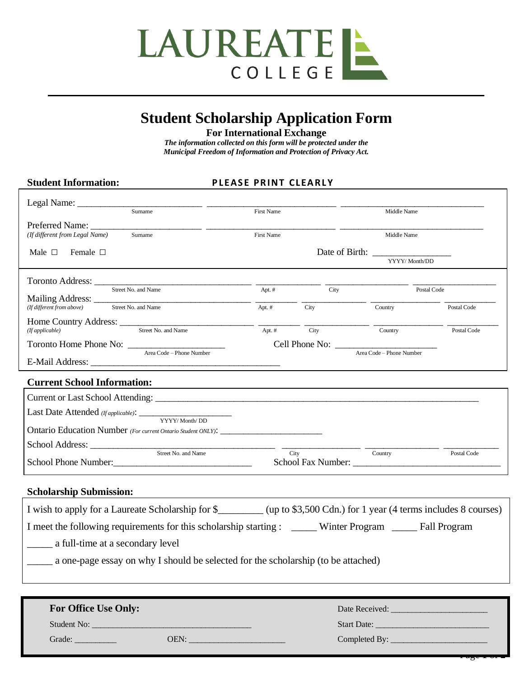

## **Student Scholarship Application Form**

**For International Exchange**

*The information collected on this form will be protected under the Municipal Freedom of Information and Protection of Privacy Act.*

## Student Information: **PLEASE PRINT CLEARLY**

| Sumame                                                                                                                 | First Name                                 |                | Middle Name                                                                                                                                                                                            |             |
|------------------------------------------------------------------------------------------------------------------------|--------------------------------------------|----------------|--------------------------------------------------------------------------------------------------------------------------------------------------------------------------------------------------------|-------------|
| Preferred Name:                                                                                                        |                                            |                |                                                                                                                                                                                                        |             |
| (If different from Legal Name)<br>Sumame                                                                               | First Name                                 |                | Middle Name                                                                                                                                                                                            |             |
| Male $\Box$<br>Female $\Box$                                                                                           |                                            | Date of Birth: |                                                                                                                                                                                                        |             |
|                                                                                                                        |                                            |                | YYYY/ Month/DD                                                                                                                                                                                         |             |
| Toronto Address:                                                                                                       |                                            |                |                                                                                                                                                                                                        |             |
| Street No. and Name                                                                                                    | Apt. #                                     | City           | Postal Code                                                                                                                                                                                            |             |
| Street No. and Name<br>(If different from above)                                                                       | Apt. #                                     | City           | Country                                                                                                                                                                                                | Postal Code |
| Home Country Address: <u>Street No. and Name</u>                                                                       |                                            |                |                                                                                                                                                                                                        |             |
|                                                                                                                        | Apt. #                                     | City           | Country                                                                                                                                                                                                | Postal Code |
| Toronto Home Phone No:<br>Area Code - Phone Number                                                                     | Cell Phone No:<br>Area Code - Phone Number |                |                                                                                                                                                                                                        |             |
|                                                                                                                        |                                            |                |                                                                                                                                                                                                        |             |
| <b>Current School Information:</b>                                                                                     |                                            |                |                                                                                                                                                                                                        |             |
|                                                                                                                        |                                            |                |                                                                                                                                                                                                        |             |
|                                                                                                                        |                                            |                |                                                                                                                                                                                                        |             |
| YYYY/ Month/ DD                                                                                                        |                                            |                |                                                                                                                                                                                                        |             |
| Ontario Education Number (For current Ontario Student ONLY): ____________________                                      |                                            |                |                                                                                                                                                                                                        |             |
| Street No. and Name                                                                                                    |                                            | City           | Country                                                                                                                                                                                                | Postal Code |
|                                                                                                                        |                                            |                |                                                                                                                                                                                                        |             |
|                                                                                                                        |                                            |                |                                                                                                                                                                                                        |             |
| <b>Scholarship Submission:</b>                                                                                         |                                            |                |                                                                                                                                                                                                        |             |
| I wish to apply for a Laureate Scholarship for \$________ (up to \$3,500 Cdn.) for 1 year (4 terms includes 8 courses) |                                            |                |                                                                                                                                                                                                        |             |
| I meet the following requirements for this scholarship starting : _____ Winter Program _____ Fall Program              |                                            |                |                                                                                                                                                                                                        |             |
|                                                                                                                        |                                            |                |                                                                                                                                                                                                        |             |
| a full-time at a secondary level                                                                                       |                                            |                |                                                                                                                                                                                                        |             |
| a one-page essay on why I should be selected for the scholarship (to be attached)                                      |                                            |                |                                                                                                                                                                                                        |             |
|                                                                                                                        |                                            |                |                                                                                                                                                                                                        |             |
|                                                                                                                        |                                            |                |                                                                                                                                                                                                        |             |
| <b>For Office Use Only:</b>                                                                                            |                                            |                | Date Received: <b>Example 2019</b>                                                                                                                                                                     |             |
| Student No:                                                                                                            |                                            |                | Start Date: <b>Start Date: Start Date: Start Date: Start Date: Start Date: Start Date: Start Date: Start Date: Start Date: Start Date: Start Date: Start Date: Start Date: Start Date: Start Date:</b> |             |

Grade: \_\_\_\_\_\_\_\_\_\_ OEN: \_\_\_\_\_\_\_\_\_\_\_\_\_\_\_\_\_\_\_\_\_\_\_ Completed By: \_\_\_\_\_\_\_\_\_\_\_\_\_\_\_\_\_\_\_\_\_\_\_